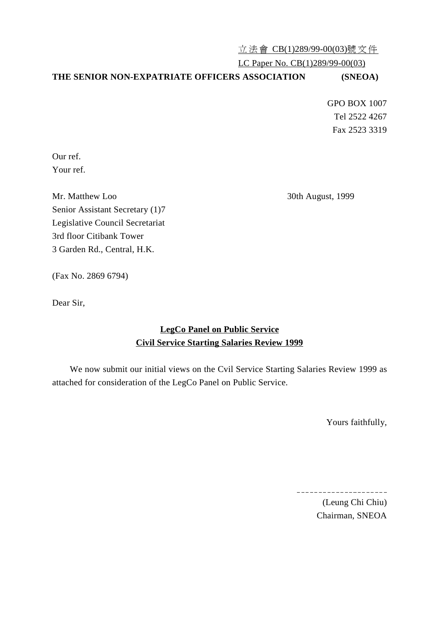立法會 CB(1)289/99-00(03)號文件

LC Paper No. CB(1)289/99-00(03)

## **THE SENIOR NON-EXPATRIATE OFFICERS ASSOCIATION (SNEOA)**

GPO BOX 1007 Tel 2522 4267 Fax 2523 3319

Our ref. Your ref.

Mr. Matthew Loo 30th August, 1999 Senior Assistant Secretary (1)7 Legislative Council Secretariat 3rd floor Citibank Tower 3 Garden Rd., Central, H.K.

(Fax No. 2869 6794)

Dear Sir,

## **LegCo Panel on Public Service Civil Service Starting Salaries Review 1999**

We now submit our initial views on the Cvil Service Starting Salaries Review 1999 as attached for consideration of the LegCo Panel on Public Service.

Yours faithfully,

 $\overline{a}$ 

(Leung Chi Chiu) Chairman, SNEOA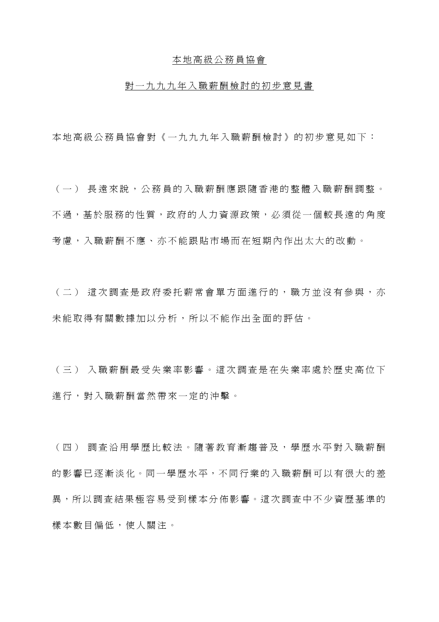## 本地高級公務員協會

## 對㆒九九九年入職薪酬檢討的初步意見書

本地高級公務員協會對《一九九九年入職薪酬檢討》的初步意見如下:

(㆒) 長遠來說,公務員的入職薪酬應跟隨香港的整體入職薪酬調整。 不過,基於服務的性質,政府的人力資源政策,必須從一個較長遠的角度 考慮,入職薪酬不應、亦不能跟貼市場而在短期內作出太大的改動。

(二) 這次調査是政府委托薪常會單方面進行的,職方並沒有參與,亦 未能取得有關數據加以分析,所以不能作出全面的評估。

(三) 入職薪酬最受失業率影響。這次調查是在失業率處於歷史高位下 進行,對入職薪酬當然帶來一定的沖擊。

(㆕) 調查沿用學歷比較法。隨著教育漸趨普及,學歷水平對入職薪酬 的影響已逐漸淡化。同一學歷水平,不同行業的入職薪酬可以有很大的差 畢,所以調查結果極容易受到樣本分佈影響。這次調查中不少資歷基進的 樣本數目偏低,使人關注。